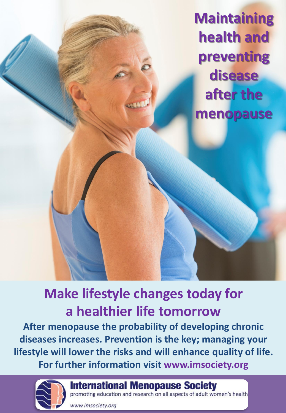**Maintaining health and preventing disease after the menopause**

# **Make lifestyle changes today for a healthier life tomorrow**

**After menopause the probability of developing chronic diseases increases. Prevention is the key; managing your lifestyle will lower the risks and will enhance quality of life. For further information visit www.imsociety.org**



**International Menopause Society** 

promoting education and research on all aspects of adult women's health

www.imsociety.org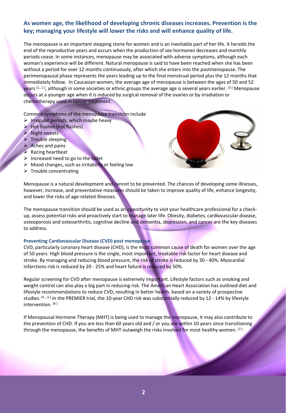# **As women age, the likelihood of developing chronic diseases increases. Prevention is the key; managing your lifestyle will lower the risks and will enhance quality of life.**

The menopause is an important stepping stone for women and is an inevitable part of her life. It heralds the end of the reproductive years and occurs when the production of sex hormones decreases and monthly periods cease. In some instances, menopause may be associated with adverse symptoms, although each woman's experience will be different. Natural menopause is said to have been reached when she has been without a period for over 12 months continuously, after which she enters into the postmenopause. The perimenopausal phase represents the years leading up to the final menstrual period plus the 12 months that immediately follow. In Caucasian women, the average age of menopause is between the ages of 50 and 52 years <sup>[1., 2.]</sup>, although in some societies or ethnic groups the average age is several years earlier. <sup>[3.]</sup> Menopause occurs at a younger age when it is induced by surgical removal of the ovaries or by irradiation or chemotherapy used in cancer treatment.

Common symptoms of the menopause transition include

- $\triangleright$  Irregular periods, which maybe heavy
- $\triangleright$  Hot flushes (hot flashes)
- Night sweats
- $\triangleright$  Trouble sleeping
- $\triangleright$  Aches and pains
- $\triangleright$  Racing heartbeat
- $\triangleright$  Increased need to go to the toilet
- $\triangleright$  Mood changes, such as irritability or feeling low
- $\triangleright$  Trouble concentrating



Menopause is a natural development and cannot to be prevented. The chances of developing some illnesses, however, increase, and preventative measures should be taken to improve quality of life, enhance longevity, and lower the risks of age-related illnesses.

The menopause transition should be used as an opportunity to visit your healthcare professional for a checkup, assess potential risks and proactively start to manage later life. Obesity, diabetes, cardiovascular disease, osteoporosis and osteoarthritis, cognitive decline and dementia, depression, and cancer are the key diseases to address.

#### **Preventing Cardiovascular Disease (CVD) post menopause**

CVD, particularly coronary heart disease (CHD), is the most common cause of death for women over the age of 50 years. High blood pressure is the single, most important, treatable risk factor for heart disease and stroke. By managing and reducing blood pressure, the risk of stroke is reduced by 30 **-** 40%. Myocardial infarctions risk is reduced by 20 - 25% and heart failure is reduced by 50%.

Regular screening for CVD after menopause is extremely important. Lifestyle factors such as smoking and weight control can also play a big part in reducing risk. The American Heart Association has outlined diet and lifestyle recommendations to reduce CVD, resulting in better health, based on a variety of prospective studies. [4., 5.] In the PREMIER trial, the 10-year CHD risk was substantially reduced by 12 - 14% by lifestyle intervention. [6.]

If Menopausal Hormone Therapy (MHT) is being used to manage the menopause, it may also contribute to the prevention of CHD. If you are less than 60 years old and / or you are within 10 years since transitioning through the menopause, the benefits of MHT outweigh the risks involved for most healthy women. [7.]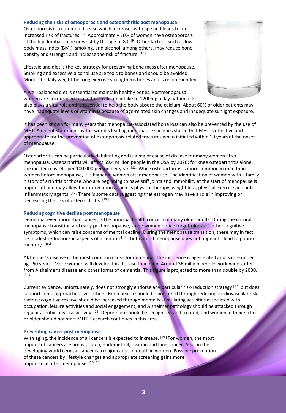#### **Reducing the risks of osteoporosis and osteoarthritis post menopause**

Osteoporosis is a common disease which increases with age and leads to an increased risk of fractures. [8.] Approximately 70% of women have osteoporosis of the hip, lumbar spine or wrist by the age of 80.  $[9.]$  Other factors, such as low body mass index (BMI), smoking, and alcohol, among others, may reduce bone density and strength and increase the risk of fracture. [10.]

Lifestyle and diet is the key strategy for preserving bone mass after menopause. Smoking and excessive alcohol use are toxic to bones and should be avoided. Moderate daily weight-bearing exercise strengthens bones and is recommended.



A well-balanced diet is essential to maintain healthy bones. Postmenopausal women are encouraged to aim for a calcium intake to 1200mg a day. Vitamin D

also plays a vital role and is essential to help the body absorb the calcium. About 60% of older patients may have inadequate levels of vitamin D because of age-related skin changes and inadequate sunlight exposure.

It has been known for many years that menopause-associated bone loss can also be prevented by the use of MHT. A recent statement by the world's leading menopause societies stated that MHT is effective and appropriate for the prevention of osteoporosis-related fractures when initiated within 10 years of the onset of menopause.

Osteoarthritis can be particularly debilitating and is a major cause of disease for many women after menopause. Osteoarthritis will affect 59.4 million people in the USA by 2020; for knee osteoarthritis alone, the incidence is 240 per 100 000 person per year. [11.] While osteoarthritis is more common in men than women before menopause, it is higher in women after menopause. The identification of women with a family history of arthritis or those who are beginning to have stiff joints and immobility at the start of menopause is important and may allow for interventions, such as physical therapy, weight loss, physical exercise and antiinflammatory agents. [12.] There is some data suggesting that estrogen may have a role in improving or decreasing the risk of osteoarthritis. [13.]

#### **Reducing cognitive decline post menopause**

Dementia, even more than cancer, is the principal health concern of many older adults. During the natural menopause transition and early post menopause, some women notice forgetfulness or other cognitive symptoms, which can raise concerns of mental decline. During the menopause transition, there may in fact be modest reductions in aspects of attention <sup>[14.]</sup>, but natural menopause does not appear to lead to poorer memory. [15.]

Alzheimer's disease is the most common cause for dementia. The incidence is age-related and is rare under age 60 years. More women will develop this disease than men. Around 36 million people worldwide suffer from Alzheimer's disease and other forms of dementia. This figure is projected to more than double by 2030.<br><sup>[16.]</sup>

Current evidence, unfortunately, does not strongly endorse any particular risk-reduction strategy [17.] but does support some approaches over others. Brain health should be bolstered through reducing cardiovascular risk factors; cognitive reserve should be increased through mentally stimulating activities associated with occupation, leisure activities and social engagement; and Alzheimer pathology should be attacked through regular aerobic physical activity. <sup>[18.]</sup> Depression should be recognised and treated, and women in their sixties or older should not start MHT. Research continues in this area.

#### **Preventing cancer post menopause**

With aging, the incidence of all cancers is expected to increase. [19.] For women, the most important cancers are breast, colon, endometrial, ovarian and lung cancer. Also, in the developing world cervical cancer is a major cause of death in women. Possible prevention of these cancers by lifestyle changes and appropriate screening gains more importance after menopause. [20., 21.]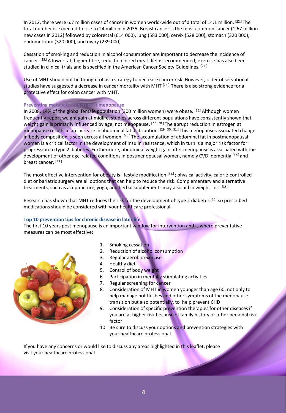In 2012, there were 6.7 million cases of cancer in women world-wide out of a total of 14.1 million. [22.] The total number is expected to rise to 24 million in 2035. Breast cancer is the most common cancer (1.67 million new cases in 2012) followed by colorectal (614 000), lung (583 000), cervix (528 000), stomach (320 000), endometrium (320 000), and ovary (239 000).

Cessation of smoking and reduction in alcohol consumption are important to decrease the incidence of cancer. [23.] A lower fat, higher fibre, reduction in red meat diet is recommended; exercise has also been studied in clinical trials and is specified in the American Cancer Society Guidelines. [24.]

Use of MHT should not be thought of as a strategy to decrease cancer risk. However, older observational studies have suggested a decrease in cancer mortality with MHT [25.]. There is also strong evidence for a protective effect for colon cancer with MHT.

## **Preventing metabolic effects post menopause**

In 2008, 14% of the global female population (300 million women) were obese.  $[26.1]$  Although women frequently report weight gain at midlife, studies across different populations have consistently shown that weight gain is primarily influenced by age, not menopause. <sup>[27., 28.]</sup> The abrupt reduction in estrogen at menopause results in an increase in abdominal fat distribution.  $^{[29, 30, 31.]}$  This menopause-associated change in body composition is seen across all women. <sup>[30.]</sup> The accumulation of abdominal fat in postmenopausal women is a critical factor in the development of insulin resistance, which in turn is a major risk factor for progression to type 2 diabetes. Furthermore, abdominal weight gain after menopause is associated with the development of other age-related conditions in postmenopausal women, namely CVD, dementia [32.] and breast cancer. [33.]

The most effective intervention for obesity is lifestyle modification [34.]; physical activity, calorie-controlled diet or bariatric surgery are all options that can help to reduce the risk. Complementary and alternative treatments, such as acupuncture, yoga, and herbal supplements may also aid in weight loss. [35.]

Research has shown that MHT reduces the risk for the development of type 2 diabetes [25.] so prescribed medications should be considered with your healthcare professional.

## **Top 10 prevention tips for chronic disease in later life**

The first 10 years post menopause is an important window for intervention and is where preventative measures can be most effective:



- 1. Smoking cessation
- 2. Reduction of alcohol consumption
- 3. Regular aerobic exercise
- 4. Healthy diet
- 5. Control of body weight
- 6. Participation in mentally stimulating activities
- 7. Regular screening for cancer
- 8. Consideration of MHT in women younger than age 60, not only to help manage hot flushes and other symptoms of the menopause transition but also potentially, to help prevent CHD
- 9. Consideration of specific prevention therapies for other diseases if you are at higher risk because of family history or other personal risk factor
- 10. Be sure to discuss your options and prevention strategies with your healthcare professional.

If you have any concerns or would like to discuss any areas highlighted in this leaflet, please visit your healthcare professional.